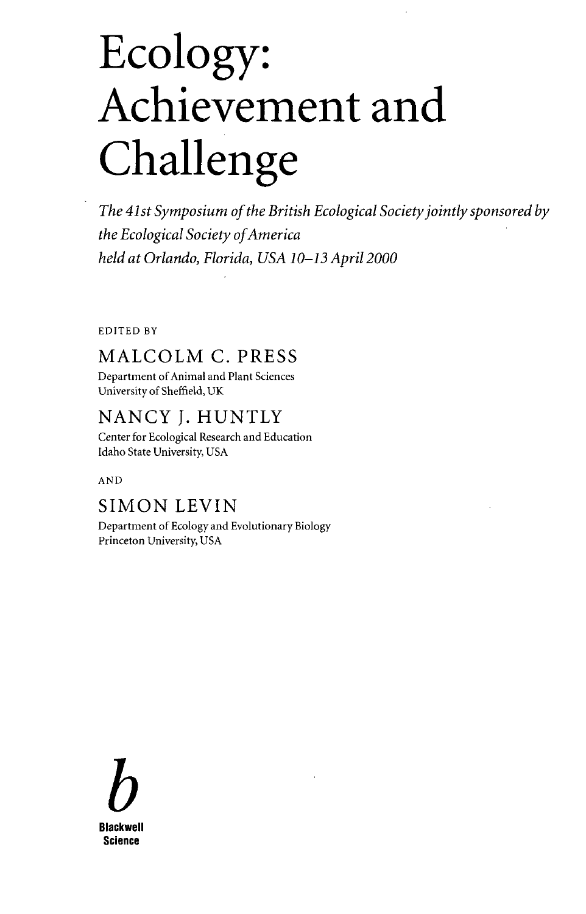# Ecology: Achievement and Challenge

*The 41st Symposium of the British Ecological Society jointly sponsored by the Ecological Society of America held at Orlando, Florida, USA 10-13 April 2000*

EDITED BY

#### MALCOLM C. PRESS

Department of Animal and Plant Sciences University of Sheffield, UK

#### NANCY J. HUNTLY

Center for Ecological Research and Education Idaho State University, USA

AND

#### SIMON LEVIN

Department of Ecology and Evolutionary Biology Princeton University, USA

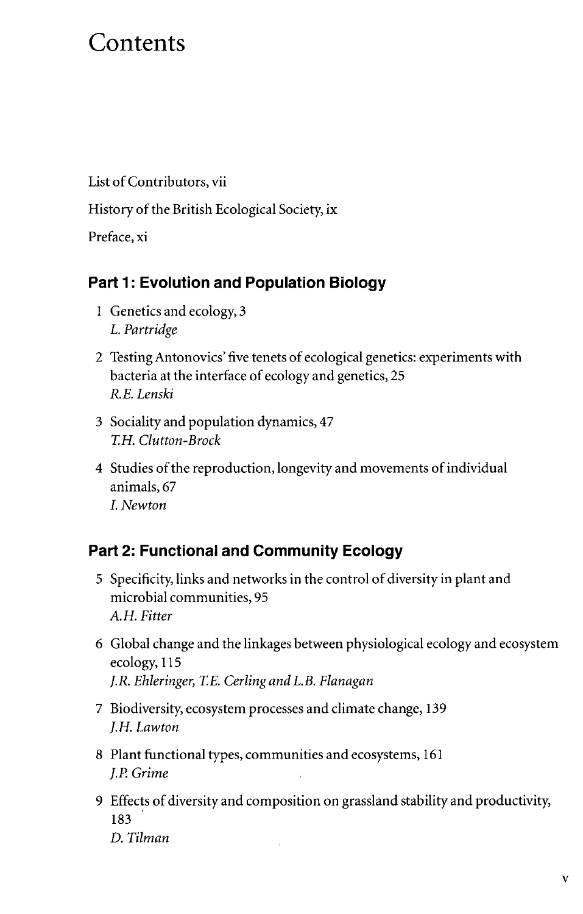## Contents

List of Contributors, vii

History of the British Ecological Society, ix

Preface, xi

#### **Part 1: Evolution and Population Biology**

- 1 Genetics and ecology, 3 *L Partridge*
- *2* Testing Antonovics' five tenets of ecological genetics: experiments with bacteria at the interface of ecology and genetics, 25 *R.E. Lenski*
- 3 Sociality and population dynamics, 47 *T.H. Clutton-Brock*
- 4 Studies of the reproduction, longevity and movements of individual animals, 67 *I. Newton*

#### **Part 2: Functional and Community Ecology**

- 5 Specificity, links and networks in the control of diversity in plant and microbial communities, 95 *A.H. Fitter*
- 6 Global change and the linkages between physiological ecology and ecosystem ecology, 115 *J.R. Ehleringer, T.E. Ceding and L.B. Flanagan*
- *7* Biodiversity, ecosystem processes and climate change, 139 *J.H. Lawton*
- 8 Plant functional types, communities and ecosystems, 161 *J.P. Grime*
- *9* Effects of diversity and composition on grassland stability and productivity, 183 *D. Tilman*